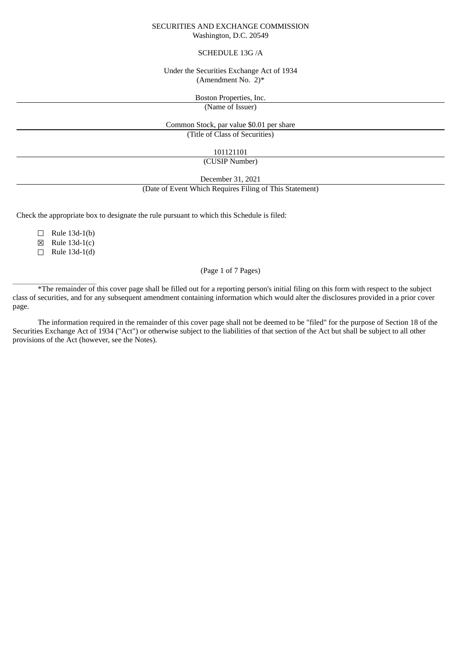# SECURITIES AND EXCHANGE COMMISSION Washington, D.C. 20549

## SCHEDULE 13G /A

### Under the Securities Exchange Act of 1934 (Amendment No. 2)\*

Boston Properties, Inc.

(Name of Issuer)

Common Stock, par value \$0.01 per share (Title of Class of Securities)

101121101

(CUSIP Number)

December 31, 2021

(Date of Event Which Requires Filing of This Statement)

Check the appropriate box to designate the rule pursuant to which this Schedule is filed:

 $\Box$  Rule 13d-1(b)

 $\boxtimes$  Rule 13d-1(c)

 $\Box$  Rule 13d-1(d)

 $\overline{\phantom{a}}$  ,  $\overline{\phantom{a}}$  ,  $\overline{\phantom{a}}$  ,  $\overline{\phantom{a}}$  ,  $\overline{\phantom{a}}$  ,  $\overline{\phantom{a}}$  ,  $\overline{\phantom{a}}$  ,  $\overline{\phantom{a}}$  ,  $\overline{\phantom{a}}$  ,  $\overline{\phantom{a}}$  ,  $\overline{\phantom{a}}$  ,  $\overline{\phantom{a}}$  ,  $\overline{\phantom{a}}$  ,  $\overline{\phantom{a}}$  ,  $\overline{\phantom{a}}$  ,  $\overline{\phantom{a}}$ 

# (Page 1 of 7 Pages)

\*The remainder of this cover page shall be filled out for a reporting person's initial filing on this form with respect to the subject class of securities, and for any subsequent amendment containing information which would alter the disclosures provided in a prior cover page.

The information required in the remainder of this cover page shall not be deemed to be "filed" for the purpose of Section 18 of the Securities Exchange Act of 1934 ("Act") or otherwise subject to the liabilities of that section of the Act but shall be subject to all other provisions of the Act (however, see the Notes).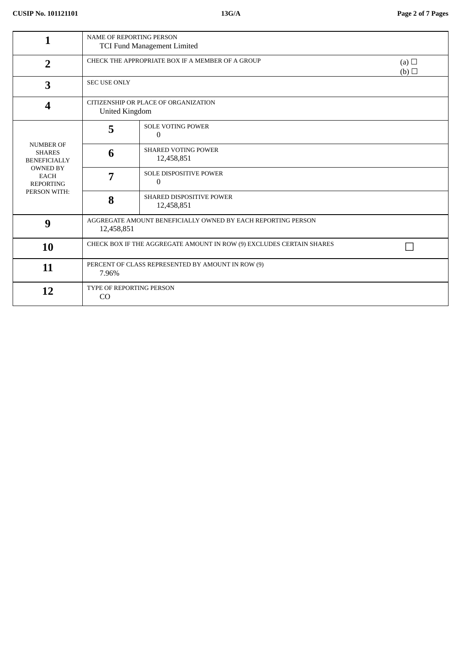| 1                                                                                                                              | <b>NAME OF REPORTING PERSON</b><br><b>TCI Fund Management Limited</b>      |                                           |  |  |  |
|--------------------------------------------------------------------------------------------------------------------------------|----------------------------------------------------------------------------|-------------------------------------------|--|--|--|
| $\overline{2}$                                                                                                                 | CHECK THE APPROPRIATE BOX IF A MEMBER OF A GROUP<br>(a) $\Box$<br>(b)      |                                           |  |  |  |
| 3                                                                                                                              | <b>SEC USE ONLY</b>                                                        |                                           |  |  |  |
| $\boldsymbol{4}$                                                                                                               | CITIZENSHIP OR PLACE OF ORGANIZATION<br><b>United Kingdom</b>              |                                           |  |  |  |
| <b>NUMBER OF</b><br><b>SHARES</b><br><b>BENEFICIALLY</b><br><b>OWNED BY</b><br><b>EACH</b><br><b>REPORTING</b><br>PERSON WITH: | 5                                                                          | <b>SOLE VOTING POWER</b><br>$\Omega$      |  |  |  |
|                                                                                                                                | 6                                                                          | <b>SHARED VOTING POWER</b><br>12,458,851  |  |  |  |
|                                                                                                                                | 7                                                                          | <b>SOLE DISPOSITIVE POWER</b><br>$\Omega$ |  |  |  |
|                                                                                                                                | 8                                                                          | SHARED DISPOSITIVE POWER<br>12,458,851    |  |  |  |
| 9                                                                                                                              | AGGREGATE AMOUNT BENEFICIALLY OWNED BY EACH REPORTING PERSON<br>12,458,851 |                                           |  |  |  |
| <b>10</b>                                                                                                                      | CHECK BOX IF THE AGGREGATE AMOUNT IN ROW (9) EXCLUDES CERTAIN SHARES       |                                           |  |  |  |
| 11                                                                                                                             | PERCENT OF CLASS REPRESENTED BY AMOUNT IN ROW (9)<br>7.96%                 |                                           |  |  |  |
| 12                                                                                                                             | TYPE OF REPORTING PERSON<br>CO                                             |                                           |  |  |  |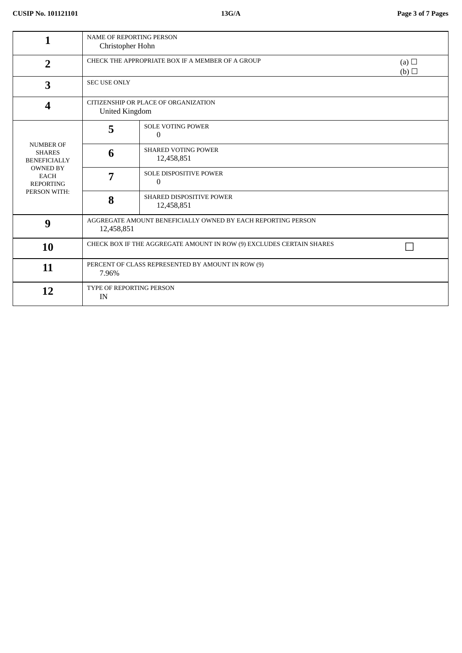| 1                                                                                                                              | <b>NAME OF REPORTING PERSON</b><br>Christopher Hohn                        |                                           |  |  |  |
|--------------------------------------------------------------------------------------------------------------------------------|----------------------------------------------------------------------------|-------------------------------------------|--|--|--|
| $\overline{2}$                                                                                                                 | CHECK THE APPROPRIATE BOX IF A MEMBER OF A GROUP<br>(a) $\Box$<br>(b)      |                                           |  |  |  |
| 3                                                                                                                              | <b>SEC USE ONLY</b>                                                        |                                           |  |  |  |
| $\boldsymbol{4}$                                                                                                               | CITIZENSHIP OR PLACE OF ORGANIZATION<br><b>United Kingdom</b>              |                                           |  |  |  |
| <b>NUMBER OF</b><br><b>SHARES</b><br><b>BENEFICIALLY</b><br><b>OWNED BY</b><br><b>EACH</b><br><b>REPORTING</b><br>PERSON WITH: | 5                                                                          | <b>SOLE VOTING POWER</b><br>$\Omega$      |  |  |  |
|                                                                                                                                | 6                                                                          | <b>SHARED VOTING POWER</b><br>12,458,851  |  |  |  |
|                                                                                                                                | 7                                                                          | <b>SOLE DISPOSITIVE POWER</b><br>$\Omega$ |  |  |  |
|                                                                                                                                | 8                                                                          | SHARED DISPOSITIVE POWER<br>12,458,851    |  |  |  |
| 9                                                                                                                              | AGGREGATE AMOUNT BENEFICIALLY OWNED BY EACH REPORTING PERSON<br>12,458,851 |                                           |  |  |  |
| 10                                                                                                                             | CHECK BOX IF THE AGGREGATE AMOUNT IN ROW (9) EXCLUDES CERTAIN SHARES       |                                           |  |  |  |
| 11                                                                                                                             | PERCENT OF CLASS REPRESENTED BY AMOUNT IN ROW (9)<br>7.96%                 |                                           |  |  |  |
| 12                                                                                                                             | TYPE OF REPORTING PERSON<br>IN                                             |                                           |  |  |  |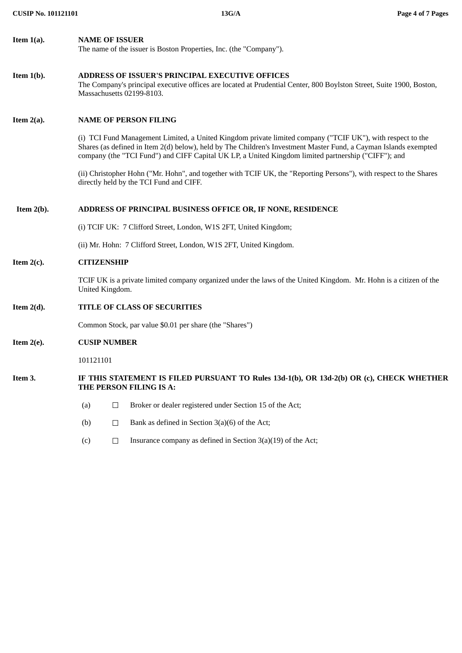| Item $1(a)$ . | <b>NAME OF ISSUER</b><br>The name of the issuer is Boston Properties, Inc. (the "Company").                                                                                                                                                                                                                                           |                     |                                                                                                                                                               |  |  |  |
|---------------|---------------------------------------------------------------------------------------------------------------------------------------------------------------------------------------------------------------------------------------------------------------------------------------------------------------------------------------|---------------------|---------------------------------------------------------------------------------------------------------------------------------------------------------------|--|--|--|
| Item $1(b)$ . | <b>ADDRESS OF ISSUER'S PRINCIPAL EXECUTIVE OFFICES</b><br>The Company's principal executive offices are located at Prudential Center, 800 Boylston Street, Suite 1900, Boston,<br>Massachusetts 02199-8103.                                                                                                                           |                     |                                                                                                                                                               |  |  |  |
| Item $2(a)$ . | <b>NAME OF PERSON FILING</b>                                                                                                                                                                                                                                                                                                          |                     |                                                                                                                                                               |  |  |  |
|               | (i) TCI Fund Management Limited, a United Kingdom private limited company ("TCIF UK"), with respect to the<br>Shares (as defined in Item 2(d) below), held by The Children's Investment Master Fund, a Cayman Islands exempted<br>company (the "TCI Fund") and CIFF Capital UK LP, a United Kingdom limited partnership ("CIFF"); and |                     |                                                                                                                                                               |  |  |  |
|               |                                                                                                                                                                                                                                                                                                                                       |                     | (ii) Christopher Hohn ("Mr. Hohn", and together with TCIF UK, the "Reporting Persons"), with respect to the Shares<br>directly held by the TCI Fund and CIFF. |  |  |  |
| Item $2(b)$ . | ADDRESS OF PRINCIPAL BUSINESS OFFICE OR, IF NONE, RESIDENCE                                                                                                                                                                                                                                                                           |                     |                                                                                                                                                               |  |  |  |
|               | (i) TCIF UK: 7 Clifford Street, London, W1S 2FT, United Kingdom;                                                                                                                                                                                                                                                                      |                     |                                                                                                                                                               |  |  |  |
|               | (ii) Mr. Hohn: 7 Clifford Street, London, W1S 2FT, United Kingdom.                                                                                                                                                                                                                                                                    |                     |                                                                                                                                                               |  |  |  |
| Item $2(c)$ . | <b>CITIZENSHIP</b>                                                                                                                                                                                                                                                                                                                    |                     |                                                                                                                                                               |  |  |  |
|               | TCIF UK is a private limited company organized under the laws of the United Kingdom. Mr. Hohn is a citizen of the<br>United Kingdom.                                                                                                                                                                                                  |                     |                                                                                                                                                               |  |  |  |
| Item $2(d)$ . | TITLE OF CLASS OF SECURITIES                                                                                                                                                                                                                                                                                                          |                     |                                                                                                                                                               |  |  |  |
|               | Common Stock, par value \$0.01 per share (the "Shares")                                                                                                                                                                                                                                                                               |                     |                                                                                                                                                               |  |  |  |
| Item $2(e)$ . |                                                                                                                                                                                                                                                                                                                                       | <b>CUSIP NUMBER</b> |                                                                                                                                                               |  |  |  |
|               | 101121101                                                                                                                                                                                                                                                                                                                             |                     |                                                                                                                                                               |  |  |  |
| Item 3.       | IF THIS STATEMENT IS FILED PURSUANT TO Rules 13d-1(b), OR 13d-2(b) OR (c), CHECK WHETHER<br>THE PERSON FILING IS A:                                                                                                                                                                                                                   |                     |                                                                                                                                                               |  |  |  |
|               | (a)                                                                                                                                                                                                                                                                                                                                   | $\Box$              | Broker or dealer registered under Section 15 of the Act;                                                                                                      |  |  |  |
|               | (b)                                                                                                                                                                                                                                                                                                                                   | $\Box$              | Bank as defined in Section $3(a)(6)$ of the Act;                                                                                                              |  |  |  |

(c)  $\Box$  Insurance company as defined in Section 3(a)(19) of the Act;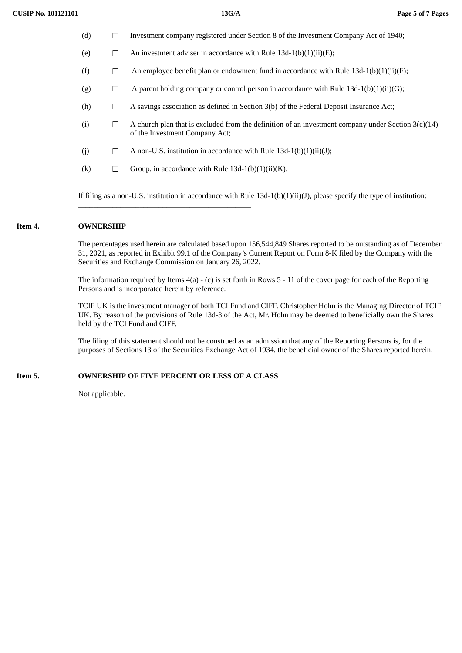- (d) ☐ Investment company registered under Section 8 of the Investment Company Act of 1940;
- (e)  $\Box$  An investment adviser in accordance with Rule 13d-1(b)(1)(ii)(E);
- (f)  $\Box$  An employee benefit plan or endowment fund in accordance with Rule 13d-1(b)(1)(ii)(F);
- (g)  $\Box$  A parent holding company or control person in accordance with Rule 13d-1(b)(1)(ii)(G);
- (h)  $\Box$  A savings association as defined in Section 3(b) of the Federal Deposit Insurance Act;
- (i)  $\Box$  A church plan that is excluded from the definition of an investment company under Section 3(c)(14) of the Investment Company Act;
- (j)  $\Box$  A non-U.S. institution in accordance with Rule 13d-1(b)(1)(ii)(J);
- (k)  $\Box$  Group, in accordance with Rule 13d-1(b)(1)(ii)(K).

\_\_\_\_\_\_\_\_\_\_\_\_\_\_\_\_\_\_\_\_\_\_\_\_\_\_\_\_\_\_\_\_\_\_\_\_\_\_\_\_\_\_\_\_\_

If filing as a non-U.S. institution in accordance with Rule 13d-1(b)(1)(ii)(J), please specify the type of institution:

#### **Item 4. OWNERSHIP**

The percentages used herein are calculated based upon 156,544,849 Shares reported to be outstanding as of December 31, 2021, as reported in Exhibit 99.1 of the Company's Current Report on Form 8-K filed by the Company with the Securities and Exchange Commission on January 26, 2022.

The information required by Items 4(a) - (c) is set forth in Rows 5 - 11 of the cover page for each of the Reporting Persons and is incorporated herein by reference.

TCIF UK is the investment manager of both TCI Fund and CIFF. Christopher Hohn is the Managing Director of TCIF UK. By reason of the provisions of Rule 13d-3 of the Act, Mr. Hohn may be deemed to beneficially own the Shares held by the TCI Fund and CIFF.

The filing of this statement should not be construed as an admission that any of the Reporting Persons is, for the purposes of Sections 13 of the Securities Exchange Act of 1934, the beneficial owner of the Shares reported herein.

#### **Item 5. OWNERSHIP OF FIVE PERCENT OR LESS OF A CLASS**

Not applicable.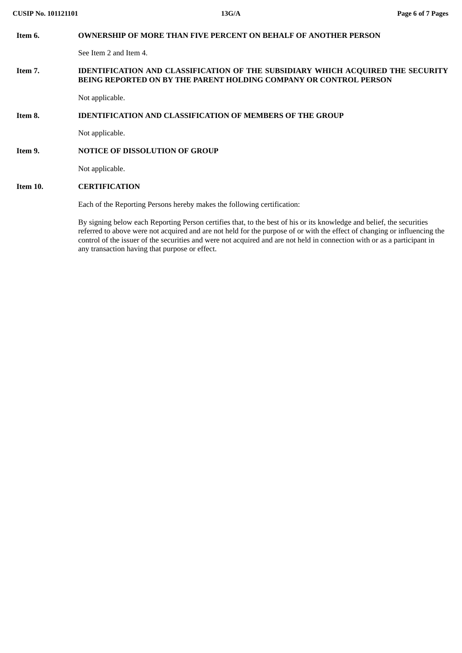| Item 6.  | <b>OWNERSHIP OF MORE THAN FIVE PERCENT ON BEHALF OF ANOTHER PERSON</b>                                                                                                                                                                             |
|----------|----------------------------------------------------------------------------------------------------------------------------------------------------------------------------------------------------------------------------------------------------|
|          | See Item 2 and Item 4.                                                                                                                                                                                                                             |
| Item 7.  | <b>IDENTIFICATION AND CLASSIFICATION OF THE SUBSIDIARY WHICH ACQUIRED THE SECURITY</b><br>BEING REPORTED ON BY THE PARENT HOLDING COMPANY OR CONTROL PERSON                                                                                        |
|          | Not applicable.                                                                                                                                                                                                                                    |
| Item 8.  | <b>IDENTIFICATION AND CLASSIFICATION OF MEMBERS OF THE GROUP</b>                                                                                                                                                                                   |
|          | Not applicable.                                                                                                                                                                                                                                    |
| Item 9.  | <b>NOTICE OF DISSOLUTION OF GROUP</b>                                                                                                                                                                                                              |
|          | Not applicable.                                                                                                                                                                                                                                    |
| Item 10. | <b>CERTIFICATION</b>                                                                                                                                                                                                                               |
|          | Each of the Reporting Persons hereby makes the following certification:                                                                                                                                                                            |
|          | By signing below each Reporting Person certifies that, to the best of his or its knowledge and belief, the securities<br>referred to above were not acquired and are not held for the purpose of or with the effect of changing or influencing the |

any transaction having that purpose or effect.

control of the issuer of the securities and were not acquired and are not held in connection with or as a participant in